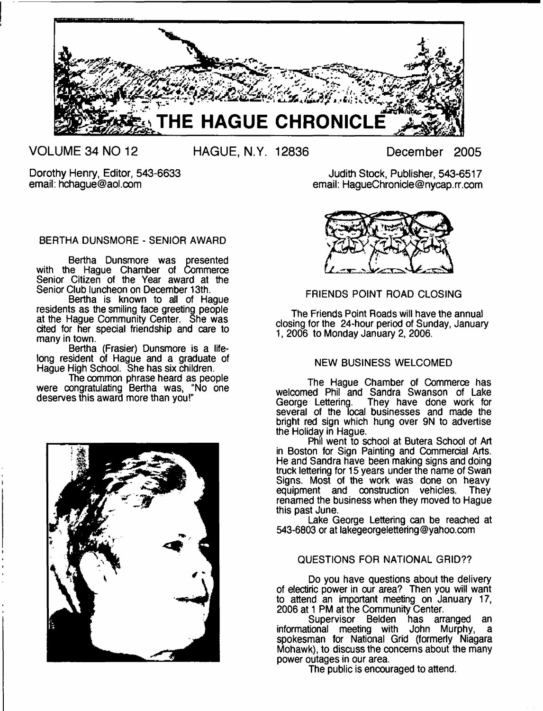

**VOLUME 34 NO 12 HAGUE, N.Y. 12836 December 2005**

Dorothy Henry, Editor, 543-6633 email: [hchague@aol.com](mailto:hchague@aol.com)

Judith Stock, Publisher, 543-6517 email: [HagueChronicle@nycap.rr.com](mailto:HagueChronicle@nycap.rr.com)

BERTHA DUNSMORE - SENIOR AWARD

Bertha Dunsmore was presented with the Hague Chamber of Commerce Senior Citizen of the Year award at the Senior Club luncheon on December 13th.

Bertha is known to all of Hague residents as the smiling face greeting people at the Hague Community Center. She was cited for her special friendship and care to many in town.

Bertha (Frasier) Dunsmore is a lifelong resident of Hague and a graduate of Hague High School. She has six children.

The common phrase heard as people were congratulating Bertha was, "No one deserves this award more than you!"





## FRIENDS POINT ROAD CLOSING

The Friends Point Roads will have the annual closing for the 24-hour period of Sunday, January 1, 2006 to Monday January 2, 2006.

## NEW BUSINESS WELCOMED

The Hague Chamber of Commerce has welcomed Phil and Sandra Swanson of Lake George Lettering. They have done work for several of the local businesses and made the bright red sign which hung over 9N to advertise the Holiday in Hague.

Phil went to school at Butera School of Art in Boston for Sign Painting and Commercial Arts. He and Sandra have been making signs and doing truck lettering for 15 years under the name of Swan Signs. Most of the work was done on heavy equipment and construction vehicles. They renamed the business when they moved to Hague this past June.

Lake George Lettering can be reached at 543-6803 or at [lakegeorgelettering@yahoo.com](mailto:lakegeorgelettering@yahoo.com)

## QUESTIONS FOR NATIONAL GRID??

Do you have questions about the delivery of electiric power in our area? Then you will want to attend an important meeting on January 17, 2006 at 1 PM at tne Community Center.

Supervisor Belden has arranged an informational meeting with John Murphy, a spokesman for National Grid (formerly Niagara Mohawk), to discuss the concerns about the many power outages in our area.

The public is encouraged to attend.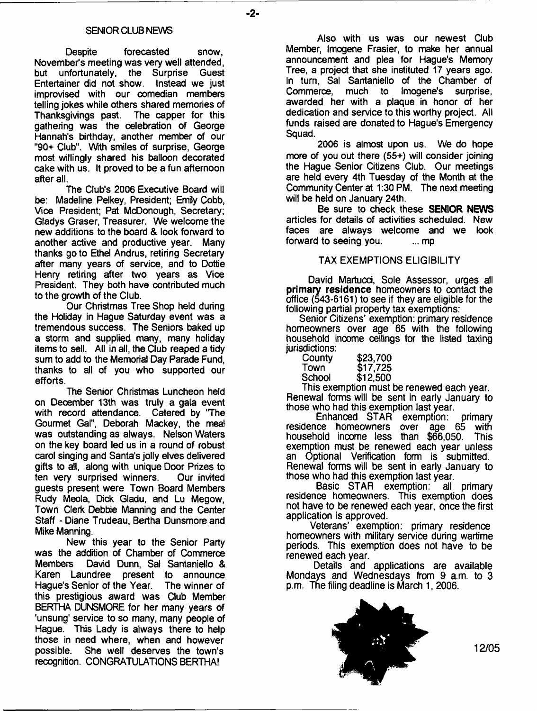- **2**-

#### SENIOR CLUB NEWS

Despite forecasted snow. November's meeting was very well attended, but unfortunately, the Surprise Guest Entertainer did not show. Instead we just improvised with our comedian members telling jokes while others shared memories of<br>Thanksgivings past. The capper for this Thanksgivings past. gathering was the celebration of George Hannah's birthday, another member of our "90+ Club". With smiles of surprise, George most willingly shared his balloon decorated cake with us. It proved to be a fun afternoon after all.

The Club's 2006 Executive Board will be: Madeline Pelkey, President; Emily Cobb, Vice President; Pat McDonough, Secretary; Gladys Graser, Treasurer. We welcome the new additions to the board & look forward to another active and productive year. Many thanks goto Ethel Andrus, retiring Secretary after many years of service, and to Dottie Henry retiring after two years as Vice President. They both have contributed much to the growth of the Club.

Our Christmas Tree Shop held during the Holiday in Hague Saturday event was a tremendous success. The Seniors baked up a storm and supplied many, many holiday items to sell. All in all, the Club reaped a tidy sum to add to the Memorial Day Parade Fund, thanks to all of you who supported our efforts.

The Senior Christmas Luncheon held on December 13th was truly a gala event with record attendance. Catered by 'The Gourmet Gal", Deborah Mackey, the meal was outstanding as always. Nelson Waters on the key board led us in a round of robust carol singing and Santa's jolly elves delivered gifts to all, along with unique Door Prizes to<br>ten very surprised winners. Our invited ten very surprised winners. guests present were Town Board Members Rudy Meola, Dick Gladu, and Lu Megow, Town Clerk Debbie Manning and the Center Staff - Diane Trudeau, Bertha Dunsmore and Mike Manning.

New this year to the Senior Party was the addition of Chamber of Commerce Members David Dunn, Sal Santaniello & Karen Laundree present to announce Hague's Senior of the Year. The winner of this prestigious award was Club Member BERTHA DUNSMORE for her many years of 'unsung' service to so many, many people of Hague. This Lady is always there to help those in need where, when and however possible. She well deserves the town's recognition. CONGRATULATIONS BERTHA!

Also with us was our newest Club Member, Imogene Frasier, to make her annual announcement and plea for Hague's Memory Tree, a project that she instituted 17 years ago. In turn, Sal Santaniello of the Chamber of<br>Commerce, much to Imogene's surprise. much to Imogene's surprise, awarded her with a plaque in honor of her dedication and service to this worthy project. All funds raised are donated to Hague's Emergency Squad.

2006 is almost upon us. We do hope more of you out there (56+) will consider joining the Hague Senior Citizens Club. Our meetings are held every 4th Tuesday of the Month at the Community Center at 1:30 PM. The next meeting will be held on January 24th.

Be sure to check these **SENIOR NEWS** articles for details of activities scheduled. New faces are always welcome and we look forward to seeing you. ... mp

#### TAX EXEMPTIONS ELIGIBILITY

David Martucci, Sole Assessor, urges all primary residence homeowners to contact the office (543-6161) to see if they are eligible for the following partial property tax exemptions:

Senior Citizens' exemption: primary residence homeowners over age 65 with the following household income ceilings for the listed taxing jurisdictions:

| County | \$23,700 |
|--------|----------|
| Town   | \$17,725 |
| School | \$12,500 |
|        |          |

This exemption must be renewed each year. Renewal forms will be sent in early January to those who had this exemption last year.

Enhanced STAR exemption: primary<br>ice homeowners over age 65 with residence homeowners over age 65 with household income less than \$66,050. This exemption must be renewed each year unless an Optional Verification form is submitted. Renewal forms will be sent in early January to those who had this exemption last year.<br>Basic STAR exemption: all primary

Basic STAR exemption: residence homeowners. This exemption does not have to be renewed each year, once the first application is approved.

Veterans' exemption: primary residence homeowners with military service during wartime periods. This exemption does not have to be renewed each year.

Details and applications are available Mondays and Wednesdays from 9 am. to 3 p.m. The filing deadline is March 1, 2006.



**12/05**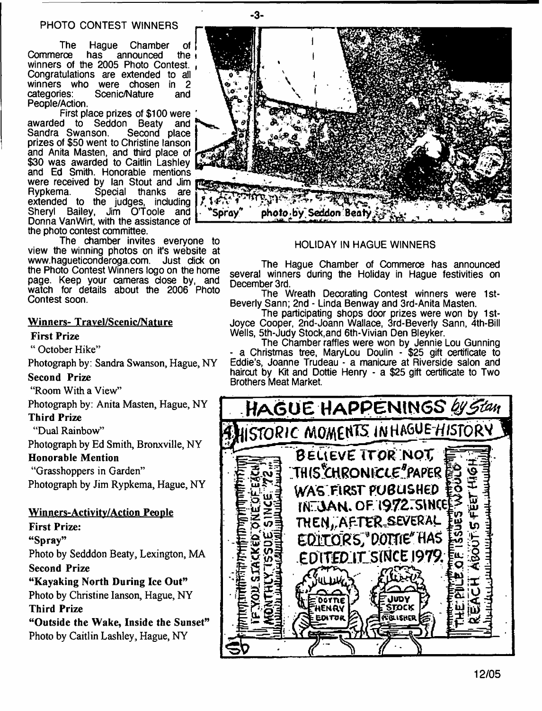## PHOTO CONTEST WINNERS

The Hague Chamber of <br>Commerce has announced the announced winners of the 2005 Photo Contest. Congratulations are extended to all winners who were chosen in 2<br>categories: Scenic/Nature and Scenic/Nature People/Action.

First place prizes of \$100 were<br>d to Seddon Beaty and awarded to Seddon Beaty<br>Sandra Swanson, Second Second place prizes of \$50 went to Christine lanson and Anita Masten, and third place of \$30 was awarded to Caitlin Lashley and Ed Smith. Honorable mentions were received by Ian Stout and Jim<br>Rypkema. Special thanks are Rypkema. Special thanks are extended to the judges, including<br>Shervl Bailey, Jim O'Toole and Jim O'Toole Donna VanWirt, with the assistance of the photo contest committee.

The chamber invites everyone to view the winning photos on it's website at [www.hagueticonderoga.com](http://www.hagueticonderoga.com). Just dick on the Photo Contest Winners logo on the home page. Keep your cameras dose by, and watch for details about the 2006 Photo Contest soon.

## Winners- Travel/Scenic/Nature

### First Prize

" October Hike"

Photograph by: Sandra Swanson, Hague, NY

#### Second Prize

"Room With a View"

Photograph by: Anita Masten, Hague, NY

## Third Prize

"Dual Rainbow"

Photograph by Ed Smith, Bronxville, NY

## Honorable Mention

"Grasshoppers in Garden"

Photograph by Jim Rypkema, Hague, NY

## Winners-Activitv/Action People

First Prize:

"Spray"

Photo by Sedddon Beaty, Lexington, MA Second Prize

"Kayaking North During Ice Out"

Photo by Christine lanson, Hague, NY

## Third Prize

"Outside the Wake, Inside the Sunset" Photo by Caitlin Lashley, Hague, NY



- **3**-

### HOLIDAY IN HAGUE WINNERS

The Hague Chamber of Commerce has announced several winners during the Holiday in Hague festivities on December 3rd.

The Wreath Decorating Contest winners were 1st-Beverly Sann; 2nd - Linda Benway and 3rd-Anita Masten.

The participating shops door prizes were won by 1st-Joyce Cooper, 2nd-Joann Wallace, 3rd-Beverly Sann, 4th-Bill Wells, 5th-Judy Stock,and 6th-Vivian Den Bleyker.

The Chamber raffles were won by Jennie Lou Gunning - a Christmas tree, MaryLou Doulin - \$25 gift certificate to Eddie's, Joanne Trudeau - a manicure at Riverside salon and haircut by Kit and Dottie Henry - a \$25 gift certificate to Two Brothers Meat Market.

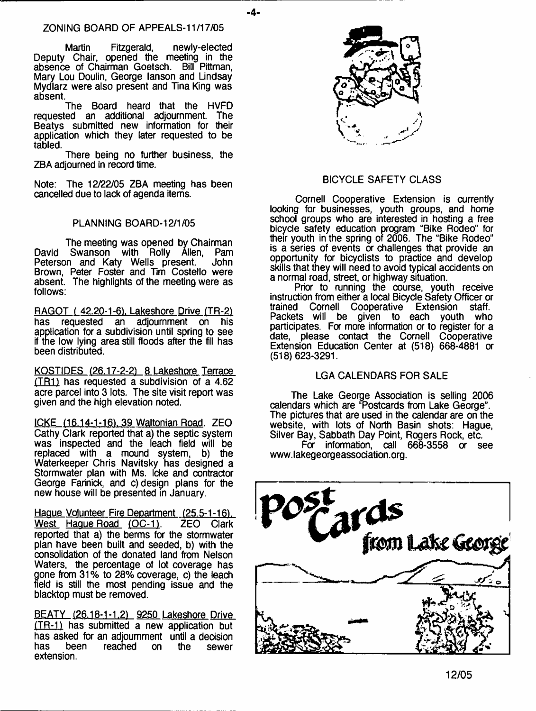- **4**-

Martin Fitzgerald, newly-elected Deputy Chair, opened the meeting in the absence of Chairman Goetsch. Bill Pittman, Mary Lou Doulin, George lanson and Lindsay Mydlarz were also present and Tina King was absent.

The Board heard that the HVFD requested an additional adjournment The Beatys submitted new information for their application which they later requested to be tabled.

There being no further business, the ZBA adjourned in record time.

Note: The 12/22/05 ZBA meeting has been cancelled due to lack of agenda items.

## PLANNING BOARD-12/1/05

The meeting was opened by Chairman<br>Swanson with Rolly Allen. Pam David Swanson with Rolly Állen, Pam<br>Peterson and Katy Wells present. John Peterson and Katy Wells present. Brown, Peter Foster and Tim Costello were absent. The highlights of the meeting were as follows:

RAGOT (42.20-1-6), Lakeshore Drive (TR-2)<br>has requested an adjournment on his has requested an adjournment on application for a subdivision until spring to see if the low lying area still floods after the fill has been distributed.

KOSTIDES (26.17-2-2) 8 Lakeshore Terrace  $(TR1)$  has requested a subdivision of a 4.62 acre parcel into 3 lots. The site visit report was given and the high elevation noted.

ICKE (16.14-1-16), 39 Waltonian Road. ZEO Cathy Clark reported that a) the septic system was inspected and the leach field will be replaced with a mound system, b) the replaced with a mound system, Waterkeeper Chris Navitsky has designed a Stormwater plan with Ms. Icke and contractor George Farinick, and c) design plans for the new house will be presented in January.

Hague Volunteer Fire Department (25.5-1-16). West Hague Road (OC-1). ZEO Clark reported that a) the berms for the stormwater plan have been built and seeded, b) with the consolidation of the donated land from Nelson Waters, the percentage of lot coverage has gone from 31% to 28% coverage, c) the leach field is still the most pending issue and the blacktop must be removed.

BEATY (26.18-1-1.2) 9250 Lakeshore Drive (TR-11 has submitted a new application but has asked for an adjournment until a decision reached on the sewer extension.



## BICYCLE SAFETY CLASS

Cornell Cooperative Extension is currently looking for businesses, youth groups, and home school groups who are interested in hosting a free bicycle safety education program "Bike Rodeo" for their youth in the spring of 2006. The "Bike Rodeo" is a series of events or challenges that provide an opportunity for bicyclists to practice and develop skills that they will need to avoid typical accidents on a normal road, street, or highway situation.

Prior to running the course, youth receive instruction from either a local Bicycle Safety Officer or trained Cornell Cooperative Extension staff. Packets will be given to each youth who participates. For more information or to register for a date, please contact the Cornell Cooperative Extension Education Center at (518) 668-4881 or (518) 623-3291.

## LGA CALENDARS FOR SALE

The Lake George Association is selling 2006 calendars which are "Postcards from Lake George". The pictures that are used in the calendar are on the website, with lots of North Basin shots: Hague, Silver Bay, Sabbath Day Point, Rogers Rock, etc. For information, call 668-3558 or see [www.lakegeorgeassociation.org](http://www.lakegeorgeassociation.org).

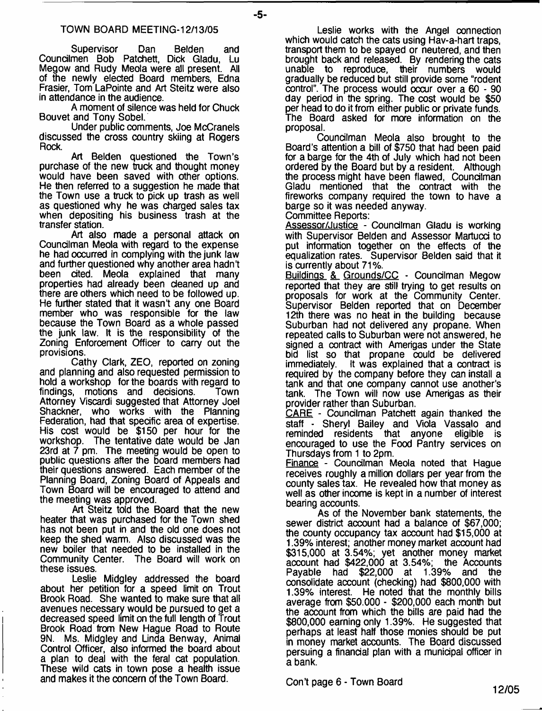#### TOWN BOARD MEETING-12/13/05

Supervisor Dan Belden and Coundlmen Bob Patchett, Dick Gladu, Lu Megow and Rudy Meola were all present. All of the newly elected Board members, Edna Frasier, Tom LaPointe and Art Steitz were also in attendance in the audience.

A moment of silence was held for Chuck Bouvet and Tony Sobel.

Under public comments, Joe McCranels discussed the cross country skiing at Rogers Rock.

Art Belden questioned the Town's purchase of the new truck and thought money would have been saved with other options. He then referred to a suggestion he made that the Town use a truck to pick up trash as well as questioned why he was charged sales tax when depositing his business trash at the transfer station.

Art also made a personal attack on Councilman Meola with regard to the expense he had occurred in complying with the junk law and further questioned why another area hadn't been cited. Meola explained that many properties had already been cleaned up and there are others which need to be followed up. He further stated that it wasn't any one Board member who was responsible for the law because the Town Board as a whole passed the junk law. It is the responsibility of the Zoning Enforcement Officer to carry out the provisions.

Cathy Clark, ZEO, reported on zoning and planning and also requested permission to hold a workshop for the boards with regard to findings, motions and decisions. Town Attorney Viscardi suggested that Attorney Joel Shackner, who works with the Planning Federation, had that specific area of expertise. His cost would be \$150 per hour for the workshop. The tentative date would be Jan 23rd at 7 pm. The meeting would be open to public questions after the board members had their questions answered. Each member of the Planning Board, Zoning Board of Appeals and Town Board will be encouraged to attend and the meeting was approved.

Art Steitz told the Board that the new heater that was purchased for the Town shed has not been put in and the old one does not keep the shed warm. Also discussed was the new boiler that needed to be installed in the Community Center. The Board will work on these issues.

Leslie Midgley addressed the board about her petition for a speed limit on Trout Brook Road. She wanted to make sure that all avenues necessary would be pursued to get a decreased speed limit on the full length of Trout Brook Road from New Hague Road to Route 9N. Ms. Midgley and Linda Benway, Animal Control Officer, also informed the board about a plan to deal with the feral cat population. These wild cats in town pose a health issue and makes it the concern of the Town Board.

Leslie works with the Angel connection which would catch the cats using Hav-a-hart traps, transport them to be spayed or neutered, and then brought back and released. By rendering the cats unable to reproduce, their numbers would gradually be reduced but still provide some "rodent control". The process would occur over a 60 - 90 day period in the spring. The cost would be \$50 per head to do it from either public or private funds. The Board asked for more information on the proposal.

Councilman Meola also brought to the Board's attention a bill of \$750 that had been paid for a barge for the 4th of July which had not been ordered by the Board but by a resident. Although the process might have been flawed, Councilman Gladu mentioned that the contract with the fireworks company required the town to have a barge so it was needed anyway.

Committee Reports:

Assessor/Justice - Councilman Gladu is working with Supervisor Belden and Assessor Martucci to put information together on the effects of the equalization rates. Supervisor Belden said that it is currently about 71%.

Buildings & Grounds/CC - Councilman Megow reported that they are still trying to get results on proposals for work at the Community Center. Supervisor Belden reported that on December 12th there was no heat in the building because Suburban had not delivered any propane. When repeated calls to Suburban were not answered, he signed a contract with Amerigas under the State bid list so that propane could be delivered immediately. It was explained that a contract is required by the company before they can install a tank and that one company cannot use another's tank. The Town will now use Amerigas as their provider rather than Suburban.

CARE - Councilman Patchett again thanked the staff - Sheryl Bailey and Viola Vassalo and reminded residents that anyone encouraged to use the Food Pantry services on Thursdays from 1 to 2pm.

Finance - Councilman Meola noted that Hague receives roughly a million dollars per year from the county sales tax. He revealed how that money as well as other income is kept in a number of interest bearing accounts.

As of the November bank statements, the sewer district account had a balance of \$67,000; the county occupancy tax account had \$15,000 at 1.39% interest; another money market account had \$315,000 at 3.54%; yet another money market account had \$422,000 at 3.54%; the Accounts Payable had \$22,000 at 1.39% and the consolidate account (checking) had \$800,000 with 1.39% interest. He noted that the monthly bills average from \$50,000 - \$200,000 each month but the account from which the bills are paid had the \$800,000 earning only 1.39%. He suggested that perhaps at least half those monies should be put in money market accounts. The Board discussed persuing a financial plan with a municipal officer in a bank.

Con't page 6 - Town Board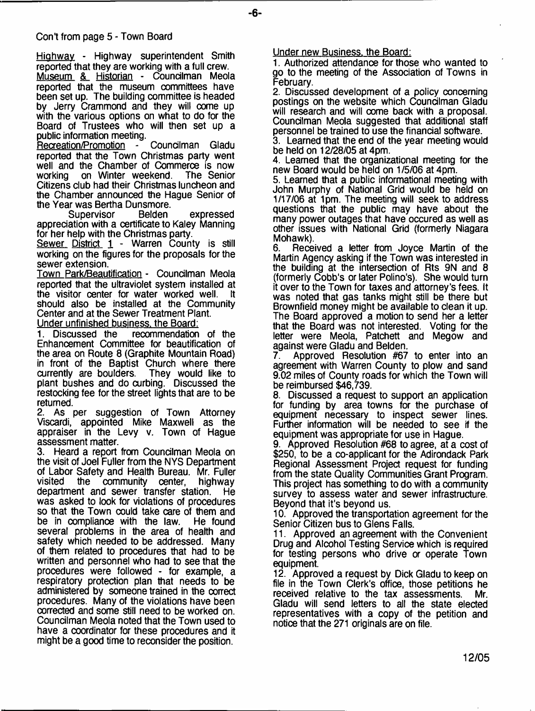## Con't from page 5 - Town Board

Highway - Highway superintendent Smith reported that they are working with a full crew. Museum & Historian - Councilman Meola reported that the museum committees have been set up. The building committee is headed by Jerry Crammond and they will come up with the various options on what to do for the Board of Trustees who will then set up a public information meeting.

Recreation/Promotion - Councilman Gladu reported that the Town Christmas party went well and the Chamber of Commerce is now<br>working on Winter weekend. The Senior working on Winter weekend. Citizens club had their Christmas luncheon and the Chamber announced the Hague Senior of the Year was Bertha Dunsmore.

Supervisor Belden expressed appreciation with a certificate to Kaley Manning for her help with the Christmas party.

Sewer District 1 - Warren County is still working on the figures for the proposals for the sewer extension.

Town Park/Beautification - Councilman Meola reported that the ultraviolet system installed at the visitor center for water worked well. It the visitor center for water worked well. should also be installed at the Community Center and at the Sewer Treatment Plant. Under unfinished business, the Board:

1. Discussed the recommendation of the Enhancement Committee for beautification of the area on Route 8 (Graphite Mountain Road) in front of the Baptist Church where there currently are boulders. They would like to currently are boulders. plant bushes and do curbing. Discussed the restocking fee for the street lights that are to be returned.

2. As per suggestion of Town Attorney Viscardi, appointed Mike Maxwell as the appraiser in the Levy v. Town of Hague assessment matter.

3. Heard a report from Councilman Meola on the visit of Joel Fuller from the NYS Department of Labor Safety and Health Bureau. Mr. Fuller community center, department and sewer transfer station. He was asked to look for violations of procedures so that the Town could take care of them and be in compliance with the law. He found several problems in the area of health and safety which needed to be addressed. Many of them related to procedures that had to be written and personnel who had to see that the procedures were followed - for example, a respiratory protection plan that needs to be administered by someone trained in the correct procedures. Many of the violations have been corrected and some stifl need to be worked on. Councilman Meola noted that the Town used to have a coordinator for these procedures and it might be a good time to reconsider the position.

Under new Business, the Board:

1. Authorized attendance for those who wanted to go to the meeting of the Association of Towns in February.

2. Discussed development of a policy concerning postings on the website which Councilman Gladu will research and will come back with a proposal. Councilman Meola suggested that additional staff personnel be trained to use the financial software.

3. Learned that the end of the year meeting would be held on 12/28/05 at 4pm.

4. Learned that the organizational meeting for the new Board would be held on 1/5/06 at 4pm.

5. Learned that a public informational meeting with John Murphy of National Grid would be held on 1/17/06 at 1pm. The meeting will seek to address questions that the public may have about the many power outages that have occured as well as other issues with National Grid (formerly Niagara Mohawk).

6. Received a letter from Joyce Martin of the Martin Agency asking if the Town was interested in the building at the intersection of Rts 9N and 8 (formerly Cobb's or later Polino's). She would turn it over to the Town for taxes and attorney's fees. It was noted that gas tanks might still be there but Brownfield money might be available to clean it up. The Board approved a motion to send her a letter that the Board was not interested. Voting for the letter were Meola, Patchett and Megow and against were Gladu and Belden.<br>7. Approved Resolution #67

Approved Resolution #67 to enter into an agreement with Warren County to plow and sand 9.02 miles of County roads for which the Town will be reimbursed \$46,739.

8. Discussed a request to support an application for funding by area towns for the purchase of equipment necessary to inspect sewer lines. Further information will be needed to see if the equipment was appropriate for use in Hague.

9. Approved Resolution #68 to agree, at a cost of \$250, to be a co-applicant for the Adirondack Park Regional Assessment Project request for funding from the state Quality Communities Grant Program. This project has something to do with a community survey to assess water and sewer infrastructure. Beyond that it's beyond us.

10. Approved the transportation agreement for the Senior Citizen bus to Glens Falls.

11. Approved an agreement with the Convenient Drug and Alcohol Testing Service which is required for testing persons who drive or operate Town equipment.

12. Approved a request by Dick Gladu to keep on file in the Town Clerk's office, those petitions he received relative to the tax assessments. Mr. Gladu will send letters to all the state elected representatives with a copy of the petition and notice that the 271 originals are on file.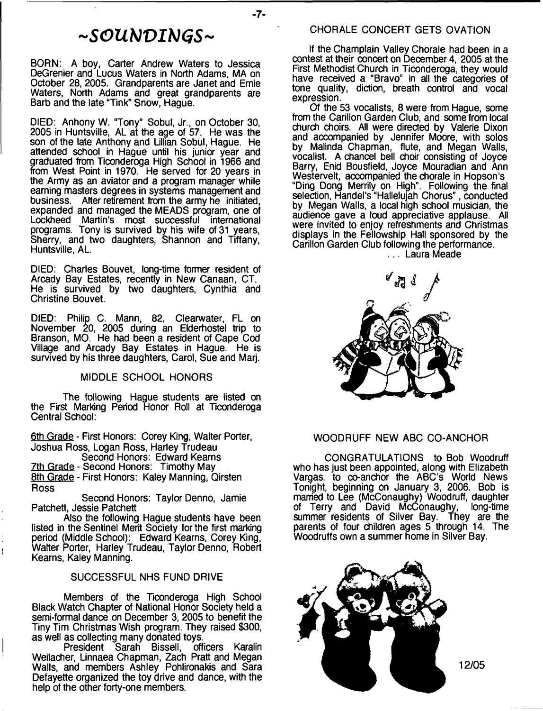## *- S O U b l V I b J G S -*

BORN: A boy, Carter Andrew Waters to Jessica DeGrenier and Lucus Waters in North Adams, MA on October 28, 2005. Grandparents are Janet and Ernie Waters, North Adams and great grandparents are Barb and the late "Tink" Snow, Hague.

DIED: Anhony W. "Tony" Sobul, Jr., on October 30, 2005 in Huntsville, AL at the age of 57. He was the son of the late Anthony and Lillian Sobul, Hague. He attended school in Hague until his junior year and graduated from Ticonderoga High School in 1966 and from West Point in 1970. He served for 20 years in the Army as an aviator and a program manager while earning masters degrees in systems management and business. After retirement from the army he initiated, expanded and managed the MEADS program, one of Lockheed Martin's most successful international programs. Tony is survived by his wife of 31 years, Sherry, and two daughters, Shannon and Tiffany, Huntsville, AL.

DIED: Charles Bouvet, long-time former resident of Arcady Bay Estates, recently in New Canaan, CT. He is survived by two daughters, Cynthia and Christine Bouvet.

DIED: Philip C. Mann, 82, Clearwater, FL on November 20, 2005 during an Elderhostel trip to Branson, MO. He had been a resident of Cape Cod Village and Arcady Bay Estates in Hague. He is survived by his three daughters, Carol, Sue and Mari.

#### MIDDLE SCHOOL HONORS

The following Hague students are listed on the First Marking Period Honor Roll at Ticonderoga Central School:

6th Grade - First Honors: Corey King, Walter Porter, Joshua Ross, Logan Ross, Harley Trudeau

Second Honors: Edward Kearns 7th Grade - Second Honors: Timothy May 8th Grade - First Honors: Kaley Manning, Qirsten Ross

Second Honors: Taylor Denno, Jamie Patchett, Jessie Patchett

Also the following Hague students have been listed in the Sentinel Merit Society for the first marking period (Middle School): Edward Kearns, Corey King, Walter Porter, Harley Trudeau, Taylor Denno, Robert Kearns, Kaley Manning.

#### SUCCESSFUL NHS FUND DRIVE

Members of the Ticonderoga High School Black Watch Chapter of National Honor Society held a semi-formal dance on December 3, 2005 to benefit the Tiny Tim Christmas Wish program. They raised \$300, as well as collecting many donated toys.<br>President Sarah Bissell, officers Karalin

**Sarah Bissell,** Weilacher, Unnaea Chapman, Zach Pratt and Megan Walls, and members Ashley Pohlironakis and Sara Defayette organized the toy drive and dance, with the help of the other forty-one members.

If the Champlain Valley Chorale had been in a contest at their concert on December 4, 2005 at the First Methodist Church in Ticonderoga, they would have received a "Bravo" in all the categories of tone quality, diction, breath control and vocal expression.

Of the 53 vocalists, 8 were from Hague, some from the Carillon Garden Club, and some from local church choirs. All were directed by Valerie Dixon and accompanied by Jennifer Moore, with solos by Malinda Chapman, flute, and Megan Walls, vocalist. A chancel bell choir consisting of Joyce Barry, Enid Bousfield, Joyce Mouradian and Ann Westervelt, accompanied the chorale in Hopson's "Ding Dong Merrily on High". Following the final selection, Handel's "Hallelujah Chorus", conducted by Megan Walls, a local high school musician, the audience gave a loud appreciative applause. All were invited to enjoy refreshments and Christmas displays in the Fellowship Hall sponsored by the Carillon Garden Club following the performance.

... Laura Meade



### WOODRUFF NEW ABC CO-ANCHOR

CONGRATULATIONS to Bob Woodruff who has just been appointed, along with Elizabeth Vargas, to co-anchor the ABC's World News Tonight, beginning on January 3, 2006. Bob is married to Lee (McConaughy) Woodruff, daughter of Terry and David McConaughy, long-time summer residents of Silver Bay. They are the parents of four children ages 5 through 14. The Woodruffs own a summer home in Silver Bay.



**-7**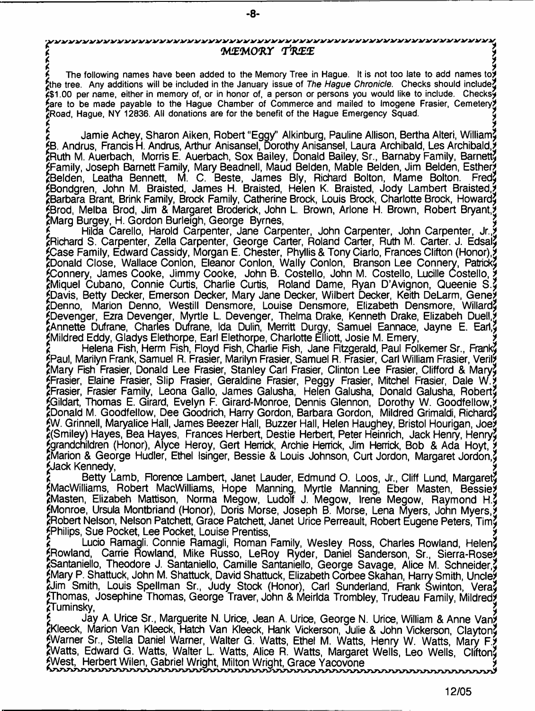- **8**-

*\ >* **j The following names have been added to the Memory Tree in Hague. It is not too late to add names to\* Jjthe tree. Any additions will be included in the January issue of** *The Hague Chronicle.* **Checks should include!} \*\$1.00 per name, either in memory of, or in honor of, a person or persons you would like to include. Checks^ {[are to be made payable to the Hague Chamber of Commerce and mailed to Imogene Frasier, Cemetery\* JjRoad, Hague, NY 12836. All donations are for the benefit of the Hague Emergency Squad. }**

r<br>A the Lemin Anhau Obaran Ailem Debart (Femil), Allinburg, Dauline Allinan Depha Albert Milliam \* Jamie Achey, Sharon Aiken, Robert "Eggy" Alkinburg, Pauline Allison, Bertha Alteri, William!} {[B. Andrus, Francis H. Andrus, Arthur Anisansel, Dorothy Anisansel, Laura Archibald, Les Archibald,\* \*Ruth M. Auerbach, Morris E. Auerbach, Sox Bailey, Donald Bailey, Sr., Barnaby Family, Barnett} {[Family, Joseph Barnett Family, Mary Beadnell, Maud Belden, Mable Belden, Jim Belden, Esther\* \*Belden, Leatha Bennett, M. C. Beste, James Bly, Richard Bolton, Marne Bolton. Fred!} SBondgren, John M. Braisted, James H. Braisted, Helen K. Braisted, Jody Lambert Braisted, ^Barbara Brant, Brink Family, Brock Family, Catherine Brock, Louis Brock, Charlotte Brock, Howard!} {[Brod, Melba Brod, Jim & Margaret Broderick, John L. Brown, Arlone H. Brown, Robert Bryant,\* kMarg Burgey, H. Gordon Burleigh, George Byrnes,

Hilda Carello, Harold Carpenter, Jane Carpenter, John Carpenter, John Carpenter, Jr., \*Richard S. Carpenter, Zella Carpenter, George Carter, Roland Carter, Ruth M. Carter. J. Edsal} {[Case Family, Edward Cassidy, Morgan E. Chester, Phyllis & Tony Ciarlo, Frances Clifton (Honor),\* 2Donald Close, Wallace Conlon, Eleanor Conlon, Wally Conlon, Branson Lee Connery, Patrick? {[Connery, James Cooke, Jimmy Cooke, John B. Costello, John M. Costello, Lucille Costello, \* \*Miquel Cubano, Connie Curtis, Charlie Curtis, Roland Dame, Ryan D'Avignon, Queenie S.!} {[Davis, Betty Decker, Emerson Decker, Mary Jane Decker, Wilbert Decker, Keith DeLarm, Gene\* \*Denno, Marion Denno, Westill Densmore, Louise Densmore, Elizabeth Densmore, Willard!} {[Devenger, Ezra Devenger, Myrtle L Devenger, Thelma Drake, Kenneth Drake, Elizabeh Duell,\* \*Annette Dufrane, Charles Dufrane, Ida Dulin, Merritt Durgy, Samuel Eannace, Jayne E. Earl,9 {[Mildred Eddy, Gladys Elethorpe, Earl Elethorpe, Charlotte Elliott, Josie M. Emery, \*

Helena Fish, Herm Fish, Floyd Fish, Charlie Fish, Jane Fitzgerald, Paul Folkemer Sr., Frank? {[Paul, Marilyn Frank, Samuel R. Frasier, Marilyn Frasier, Samuel R. Frasier, Carl William Frasier, Veril\* Mary Fish Frasier, Donald Lee Frasier, Stanley Carl Frasier, Clinton Lee Frasier, Clifford & Mary? {[Frasier, Elaine Frasier, Slip Frasier, Geraldine Frasier, Peggy Frasier, Mitchel Frasier, Dale W.\* \*Frasier, Frasier Family, Leona Gallo, James Galusha, Helen Galusha, Donald Galusha, Robert} {[Gildart, Thomas E. Girard, Evelyn F. Girard-Monroe, Dennis Glennon, Dorothy W. Goodfellow,\* \*Donald M. Goodfellow, Dee Goodrich, Harry Gordon, Barbara Gordon, Mildred Grimaldi, Richard} {[W. Grinnell, Maryalice Hall, James Beezer Hall, Buzzer Hall, Helen Haughey, Bristol Hourigan, Joe\* \*(Smiley) Hayes, Bea Hayes, Frances Herbert, Destie Herbert, Peter Heinrich, Jack Henry, Henry} {[grandchildren (Honor), Alyce Heroy, Gert Herrick, Archie Herrick, Jim Herrick, Bob & Ada Hoyt, \* \*Marion & George Hudler, Ethel Isinger, Bessie & Louis Johnson, Curt Jordon, Margaret Jordon,} {[Jack Kennedy, \*

Betty Lamb, Florence Lambert, Janet Lauder, Edmund O. Loos, Jr., Cliff Lund, Margaret? {[MacWilliams, Robert MacWilliams, Hope Manning, Myrtle Manning, Eber Masten, Bessie\* \*Masten, Elizabeh Mattison, Norma Megow, Ludolf J. Megow, Irene Megow, Raymond H.} {[Monroe, Ursula Montbriand (Honor), Doris Morse, Joseph B. Morse, Lena Myers, John Myers,\* \*Robert Nelson, Nelson Patchett, Grace Patchett, Janet Urice Perreault, Robert Eugene Peters, Tim} {[Philips, Sue Pocket, Lee Pocket, Louise Prentiss, \*

Lucio Ramagli. Connie Ramagli, Roman Family, Wesley Ross, Charles Rowland, Helen? KRowland, Carrie Rowland, Mike Russo, LeRoy Ryder, Daniel Sanderson, Sr., Sierra-Rosey ^Santaniello, Theodore J. Santaniello, Camille Santaniello, George Savage, Alice M. Schneider,} {[Mary P. Shattuck, John M. Shattuck, David Shattuck, Elizabeth Corbee Skahan, Harry Smith, Uncle\* \*Jim Smith, Louis Spellman Sr., Judy Stock (Honor), Carl Sunderland, Frank Swinton, Vera} fThomas, Josephine Thomas, George Traver, John & Meirlda Trombley, Trudeau Family, Mildredy<br>{Tuminsky, \*Tuminsky, 2

Jay A. Urice Sr., Marguerite N. Urice, Jean A. Urice, George N. Urice, William & Anne Vany \*Kleeck, Marion Van Kleeck, Hatch Van Kleeck, Hank Vickerson, Julie & John Vickerson, Clayton} {[Warner Sr., Stella Daniel Warner, Walter G. Watts, Ethel M. Watts, Henry W. Watts, Mary F.\* \*Watts, Edward G. Watts, Walter L. Watts, Alice R. Watts, Margaret Wells, Leo Wells, Clifton} {[West, Herbert Wilen, Gabriel Wright, Milton Wright, Grace Yacovone \*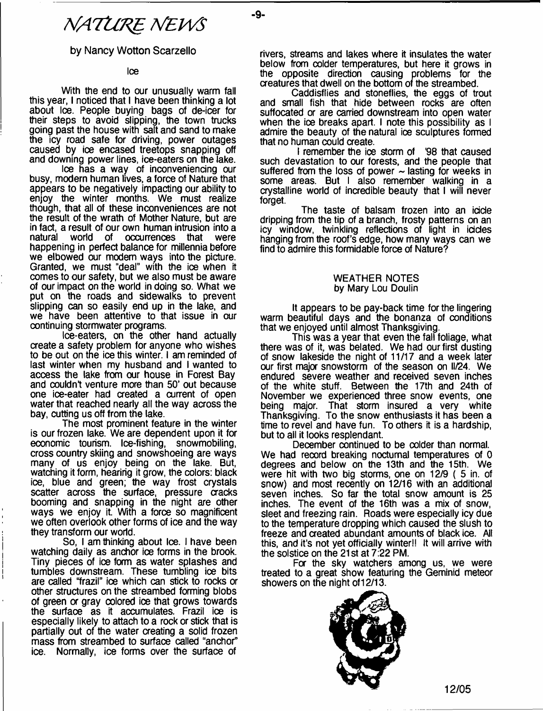# *NATURE NEWS*

### by Nancy Wotton Scarzello

Ice

With the end to our unusually warm fall this year, I noticed that I have been thinking a lot about Ice. People buying bags of de-icer for their steps to avoid slipping, the town trucks going past the house with salt and sand to make the icy road safe for driving, power outages caused by ice encased treetops snapping off and downing power lines, ice-eaters on the lake.

Ice has a way of inconveniencing our busy, modern human lives, a force of Nature that appears to be negatively impacting our ability to enjoy the winter months. We must realize though, that all of these inconveniences are not the result of the wrath of Mother Nature, but are in fact, a result of our own human intrusion into a of occurrences happening in perfect balance for millennia before we elbowed our modem ways into the picture. Granted, we must "deal" with the ice when it comes to our safety, but we also must be aware of our impact on the world in doing so. What we put on the roads and sidewalks to prevent slipping can so easily end up in the lake, and we have been attentive to that issue in our continuing stormwater programs.

Ice-eaters, on the other hand actually create a safety problem for anyone who wishes to be out on the ice this winter. I am reminded of last winter when my husband and I wanted to access the lake from our house in Forest Bay and couldn't venture more than 50' out because one ice-eater had created a current of open water that reached nearly all the way across the bay, cutting us off from the lake.

The most prominent feature in the winter is our frozen lake. We are dependent upon it for economic tourism. Ice-fishing, snowmobiling, cross country skiing and snowshoeing are ways many of us enjoy being on the lake. But, watching it form, hearirig it grow, the colors: black ice, blue and green; the way frost crystals scatter across the surface, pressure cracks booming and snapping in the night are other ways we enjoy it. With a force so magnificent we often overlook other forms of ice and the way they transform our world.

So, I am thinking about Ice. I have been watching daily as anchor ice forms in the brook. Tiny pieces of ice form as water splashes and tumbles downstream. These tumbling ice bits are called "frazil" ice which can stick to rocks or other structures on the streambed forming blobs of green or gray colored ice that grows towards the surface as it accumulates. Frazil ice is especially likely to attach to a rock or stick that is partially out of the water creating a solid frozen mass from streambed to surface called "anchor" ice. Normally, ice forms over the surface of

rivers, streams and lakes where it insulates the water below from colder temperatures, but here it grows in the opposite direction causing problems for the creatures that dwell on the bottom of the streambed.

Caddisflies and stoneflies, the eggs of trout and small fish that hide between rocks are often suffocated or are carried downstream into open water when the ice breaks apart. I note this possibility as I admire the beauty of the natural ioe sculptures formed that no human could create.

I remember the ice storm of "98 that caused such devastation to our forests, and the people that suffered from the loss of power  $\sim$  lasting for weeks in some areas. But I also remember walking in a crystalline world of incredible beauty that I will never forget.

The taste of balsam frozen into an icicle dripping from the tip of a branch, frosty patterns on an icy window, twinkling reflections of light in icicles hanging from the roof's edge, how many ways can we find to admire this formidable force of Nature?

#### WEATHER NOTES by Mary Lou Doulin

It appears to be pay-back time for the lingering warm beautiful days and the bonanza of conditions that we enjoyed until almost Thanksgiving.

This was a year that even the fall foliage, what there was of it, was belated. We had our first dusting of snow lakeside the night of 11/17 and a week later our first major snowstorm of the season on II/24. We endured severe weather and received seven inches of the white stuff. Between the 17th and 24th of November we experienced three snow events, one being major. That storm insured a very white Thanksgiving. To the snow enthusiasts it has been a time to revel and have fun. To others it is a hardship, but to ail it looks resplendant.

December continued to be colder than normal. We had record breaking nocturnal temperatures of 0 degrees and below on the 13th and the 15th. We were hit with two big storms, one on 12/9 ( 5 in. of snow) and most recently on 12/16 with an additional seven inches. So far the total snow amount is 25 inches. The event of the 16th was a mix of snow, sleet and freezing rain. Roads were especially icy due to the temperature dropping which caused the slush to freeze and created abundant amounts of black ice. All this, and it's not yet officially winter!! It will arrive with the solstice on the 21st at 7:22 PM.

For the sky watchers among us, we were treated to a great show featuring the Geminid meteor showers on the night of 12/13.



**12/05**